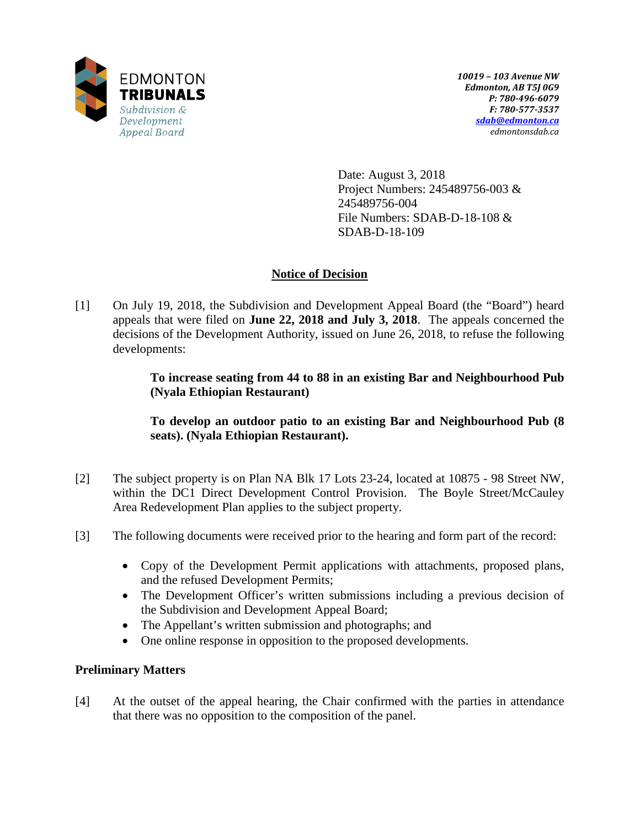

Date: August 3, 2018 Project Numbers: 245489756-003 & 245489756-004 File Numbers: SDAB-D-18-108 & SDAB-D-18-109

## **Notice of Decision**

[1] On July 19, 2018, the Subdivision and Development Appeal Board (the "Board") heard appeals that were filed on **June 22, 2018 and July 3, 2018**. The appeals concerned the decisions of the Development Authority, issued on June 26, 2018, to refuse the following developments:

> **To increase seating from 44 to 88 in an existing Bar and Neighbourhood Pub (Nyala Ethiopian Restaurant)**

> **To develop an outdoor patio to an existing Bar and Neighbourhood Pub (8 seats). (Nyala Ethiopian Restaurant).**

- [2] The subject property is on Plan NA Blk 17 Lots 23-24, located at 10875 98 Street NW, within the DC1 Direct Development Control Provision. The Boyle Street/McCauley Area Redevelopment Plan applies to the subject property.
- [3] The following documents were received prior to the hearing and form part of the record:
	- Copy of the Development Permit applications with attachments, proposed plans, and the refused Development Permits;
	- The Development Officer's written submissions including a previous decision of the Subdivision and Development Appeal Board;
	- The Appellant's written submission and photographs; and
	- One online response in opposition to the proposed developments.

# **Preliminary Matters**

[4] At the outset of the appeal hearing, the Chair confirmed with the parties in attendance that there was no opposition to the composition of the panel.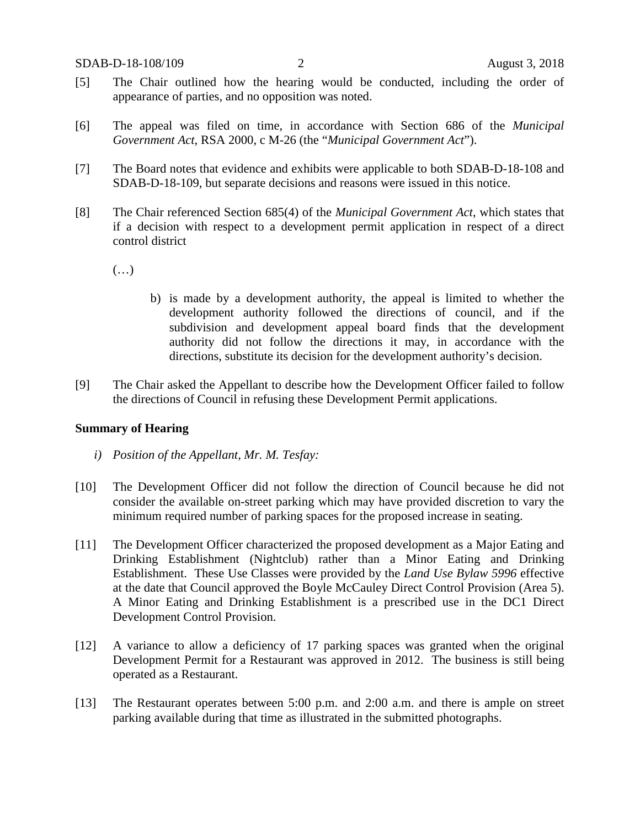- [5] The Chair outlined how the hearing would be conducted, including the order of appearance of parties, and no opposition was noted.
- [6] The appeal was filed on time, in accordance with Section 686 of the *Municipal Government Act*, RSA 2000, c M-26 (the "*Municipal Government Act*").
- [7] The Board notes that evidence and exhibits were applicable to both SDAB-D-18-108 and SDAB-D-18-109, but separate decisions and reasons were issued in this notice.
- [8] The Chair referenced Section 685(4) of the *Municipal Government Act*, which states that if a decision with respect to a development permit application in respect of a direct control district
	- (…)
- b) is made by a development authority, the appeal is limited to whether the development authority followed the directions of council, and if the subdivision and development appeal board finds that the development authority did not follow the directions it may, in accordance with the directions, substitute its decision for the development authority's decision.
- [9] The Chair asked the Appellant to describe how the Development Officer failed to follow the directions of Council in refusing these Development Permit applications.

## **Summary of Hearing**

- *i) Position of the Appellant, Mr. M. Tesfay:*
- [10] The Development Officer did not follow the direction of Council because he did not consider the available on-street parking which may have provided discretion to vary the minimum required number of parking spaces for the proposed increase in seating.
- [11] The Development Officer characterized the proposed development as a Major Eating and Drinking Establishment (Nightclub) rather than a Minor Eating and Drinking Establishment. These Use Classes were provided by the *Land Use Bylaw 5996* effective at the date that Council approved the Boyle McCauley Direct Control Provision (Area 5). A Minor Eating and Drinking Establishment is a prescribed use in the DC1 Direct Development Control Provision.
- [12] A variance to allow a deficiency of 17 parking spaces was granted when the original Development Permit for a Restaurant was approved in 2012. The business is still being operated as a Restaurant.
- [13] The Restaurant operates between 5:00 p.m. and 2:00 a.m. and there is ample on street parking available during that time as illustrated in the submitted photographs.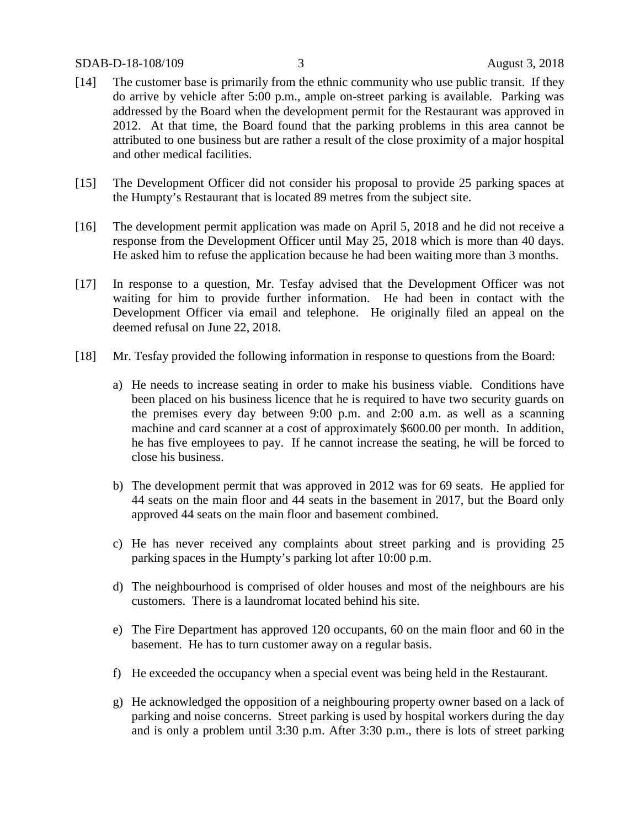### SDAB-D-18-108/109 3 August 3, 2018

- [14] The customer base is primarily from the ethnic community who use public transit. If they do arrive by vehicle after 5:00 p.m., ample on-street parking is available. Parking was addressed by the Board when the development permit for the Restaurant was approved in 2012. At that time, the Board found that the parking problems in this area cannot be attributed to one business but are rather a result of the close proximity of a major hospital and other medical facilities.
- [15] The Development Officer did not consider his proposal to provide 25 parking spaces at the Humpty's Restaurant that is located 89 metres from the subject site.
- [16] The development permit application was made on April 5, 2018 and he did not receive a response from the Development Officer until May 25, 2018 which is more than 40 days. He asked him to refuse the application because he had been waiting more than 3 months.
- [17] In response to a question, Mr. Tesfay advised that the Development Officer was not waiting for him to provide further information. He had been in contact with the Development Officer via email and telephone. He originally filed an appeal on the deemed refusal on June 22, 2018.
- [18] Mr. Tesfay provided the following information in response to questions from the Board:
	- a) He needs to increase seating in order to make his business viable. Conditions have been placed on his business licence that he is required to have two security guards on the premises every day between 9:00 p.m. and 2:00 a.m. as well as a scanning machine and card scanner at a cost of approximately \$600.00 per month. In addition, he has five employees to pay. If he cannot increase the seating, he will be forced to close his business.
	- b) The development permit that was approved in 2012 was for 69 seats. He applied for 44 seats on the main floor and 44 seats in the basement in 2017, but the Board only approved 44 seats on the main floor and basement combined.
	- c) He has never received any complaints about street parking and is providing 25 parking spaces in the Humpty's parking lot after 10:00 p.m.
	- d) The neighbourhood is comprised of older houses and most of the neighbours are his customers. There is a laundromat located behind his site.
	- e) The Fire Department has approved 120 occupants, 60 on the main floor and 60 in the basement. He has to turn customer away on a regular basis.
	- f) He exceeded the occupancy when a special event was being held in the Restaurant.
	- g) He acknowledged the opposition of a neighbouring property owner based on a lack of parking and noise concerns. Street parking is used by hospital workers during the day and is only a problem until 3:30 p.m. After 3:30 p.m., there is lots of street parking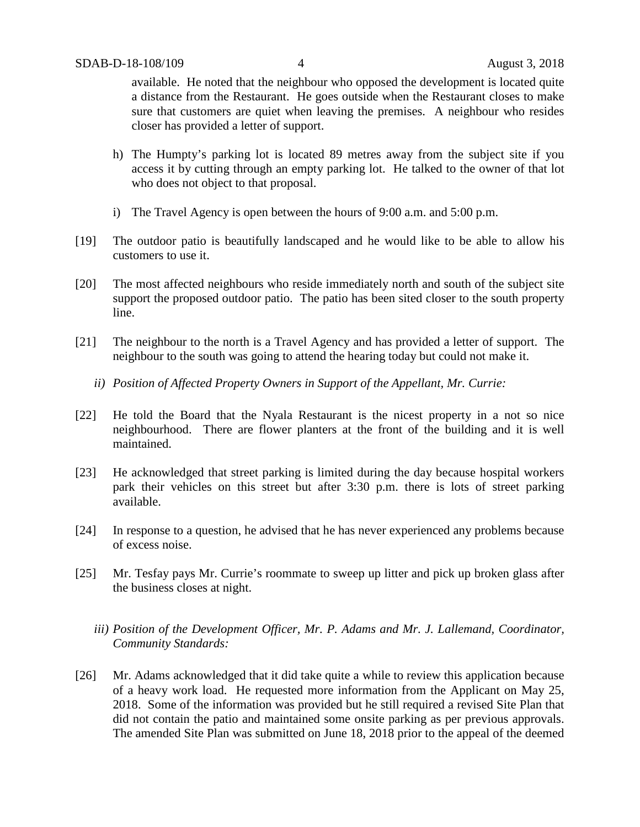available. He noted that the neighbour who opposed the development is located quite a distance from the Restaurant. He goes outside when the Restaurant closes to make sure that customers are quiet when leaving the premises. A neighbour who resides closer has provided a letter of support.

- h) The Humpty's parking lot is located 89 metres away from the subject site if you access it by cutting through an empty parking lot. He talked to the owner of that lot who does not object to that proposal.
- i) The Travel Agency is open between the hours of 9:00 a.m. and 5:00 p.m.
- [19] The outdoor patio is beautifully landscaped and he would like to be able to allow his customers to use it.
- [20] The most affected neighbours who reside immediately north and south of the subject site support the proposed outdoor patio. The patio has been sited closer to the south property line.
- [21] The neighbour to the north is a Travel Agency and has provided a letter of support. The neighbour to the south was going to attend the hearing today but could not make it.
	- *ii) Position of Affected Property Owners in Support of the Appellant, Mr. Currie:*
- [22] He told the Board that the Nyala Restaurant is the nicest property in a not so nice neighbourhood. There are flower planters at the front of the building and it is well maintained.
- [23] He acknowledged that street parking is limited during the day because hospital workers park their vehicles on this street but after 3:30 p.m. there is lots of street parking available.
- [24] In response to a question, he advised that he has never experienced any problems because of excess noise.
- [25] Mr. Tesfay pays Mr. Currie's roommate to sweep up litter and pick up broken glass after the business closes at night.
	- *iii) Position of the Development Officer, Mr. P. Adams and Mr. J. Lallemand, Coordinator, Community Standards:*
- [26] Mr. Adams acknowledged that it did take quite a while to review this application because of a heavy work load. He requested more information from the Applicant on May 25, 2018. Some of the information was provided but he still required a revised Site Plan that did not contain the patio and maintained some onsite parking as per previous approvals. The amended Site Plan was submitted on June 18, 2018 prior to the appeal of the deemed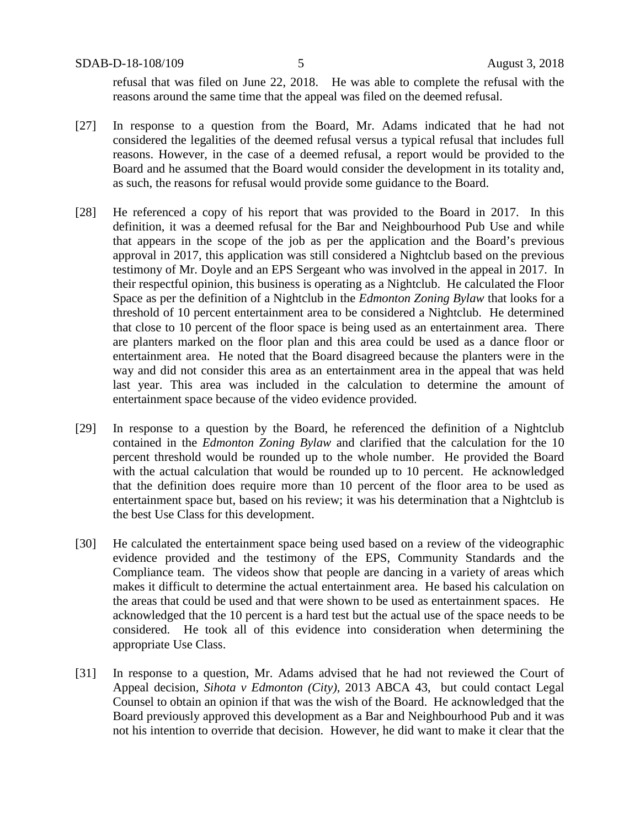SDAB-D-18-108/109 5 August 3, 2018

refusal that was filed on June 22, 2018. He was able to complete the refusal with the reasons around the same time that the appeal was filed on the deemed refusal.

- [27] In response to a question from the Board, Mr. Adams indicated that he had not considered the legalities of the deemed refusal versus a typical refusal that includes full reasons. However, in the case of a deemed refusal, a report would be provided to the Board and he assumed that the Board would consider the development in its totality and, as such, the reasons for refusal would provide some guidance to the Board.
- [28] He referenced a copy of his report that was provided to the Board in 2017. In this definition, it was a deemed refusal for the Bar and Neighbourhood Pub Use and while that appears in the scope of the job as per the application and the Board's previous approval in 2017, this application was still considered a Nightclub based on the previous testimony of Mr. Doyle and an EPS Sergeant who was involved in the appeal in 2017. In their respectful opinion, this business is operating as a Nightclub. He calculated the Floor Space as per the definition of a Nightclub in the *Edmonton Zoning Bylaw* that looks for a threshold of 10 percent entertainment area to be considered a Nightclub. He determined that close to 10 percent of the floor space is being used as an entertainment area. There are planters marked on the floor plan and this area could be used as a dance floor or entertainment area. He noted that the Board disagreed because the planters were in the way and did not consider this area as an entertainment area in the appeal that was held last year. This area was included in the calculation to determine the amount of entertainment space because of the video evidence provided.
- [29] In response to a question by the Board, he referenced the definition of a Nightclub contained in the *Edmonton Zoning Bylaw* and clarified that the calculation for the 10 percent threshold would be rounded up to the whole number. He provided the Board with the actual calculation that would be rounded up to 10 percent. He acknowledged that the definition does require more than 10 percent of the floor area to be used as entertainment space but, based on his review; it was his determination that a Nightclub is the best Use Class for this development.
- [30] He calculated the entertainment space being used based on a review of the videographic evidence provided and the testimony of the EPS, Community Standards and the Compliance team. The videos show that people are dancing in a variety of areas which makes it difficult to determine the actual entertainment area. He based his calculation on the areas that could be used and that were shown to be used as entertainment spaces. He acknowledged that the 10 percent is a hard test but the actual use of the space needs to be considered. He took all of this evidence into consideration when determining the appropriate Use Class.
- [31] In response to a question, Mr. Adams advised that he had not reviewed the Court of Appeal decision, *Sihota v Edmonton (City),* 2013 ABCA 43, but could contact Legal Counsel to obtain an opinion if that was the wish of the Board. He acknowledged that the Board previously approved this development as a Bar and Neighbourhood Pub and it was not his intention to override that decision. However, he did want to make it clear that the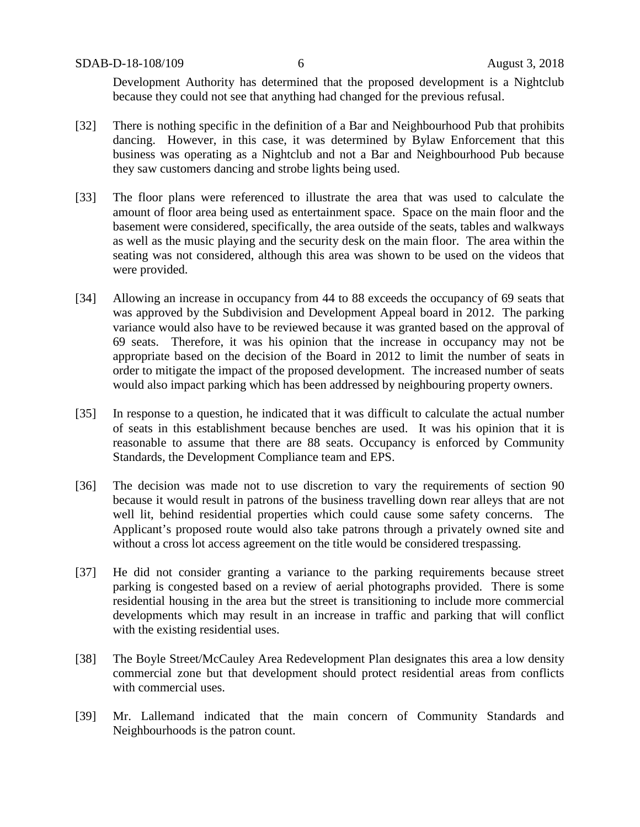Development Authority has determined that the proposed development is a Nightclub because they could not see that anything had changed for the previous refusal.

- [32] There is nothing specific in the definition of a Bar and Neighbourhood Pub that prohibits dancing. However, in this case, it was determined by Bylaw Enforcement that this business was operating as a Nightclub and not a Bar and Neighbourhood Pub because they saw customers dancing and strobe lights being used.
- [33] The floor plans were referenced to illustrate the area that was used to calculate the amount of floor area being used as entertainment space. Space on the main floor and the basement were considered, specifically, the area outside of the seats, tables and walkways as well as the music playing and the security desk on the main floor. The area within the seating was not considered, although this area was shown to be used on the videos that were provided.
- [34] Allowing an increase in occupancy from 44 to 88 exceeds the occupancy of 69 seats that was approved by the Subdivision and Development Appeal board in 2012. The parking variance would also have to be reviewed because it was granted based on the approval of 69 seats. Therefore, it was his opinion that the increase in occupancy may not be appropriate based on the decision of the Board in 2012 to limit the number of seats in order to mitigate the impact of the proposed development. The increased number of seats would also impact parking which has been addressed by neighbouring property owners.
- [35] In response to a question, he indicated that it was difficult to calculate the actual number of seats in this establishment because benches are used. It was his opinion that it is reasonable to assume that there are 88 seats. Occupancy is enforced by Community Standards, the Development Compliance team and EPS.
- [36] The decision was made not to use discretion to vary the requirements of section 90 because it would result in patrons of the business travelling down rear alleys that are not well lit, behind residential properties which could cause some safety concerns. The Applicant's proposed route would also take patrons through a privately owned site and without a cross lot access agreement on the title would be considered trespassing.
- [37] He did not consider granting a variance to the parking requirements because street parking is congested based on a review of aerial photographs provided. There is some residential housing in the area but the street is transitioning to include more commercial developments which may result in an increase in traffic and parking that will conflict with the existing residential uses.
- [38] The Boyle Street/McCauley Area Redevelopment Plan designates this area a low density commercial zone but that development should protect residential areas from conflicts with commercial uses.
- [39] Mr. Lallemand indicated that the main concern of Community Standards and Neighbourhoods is the patron count.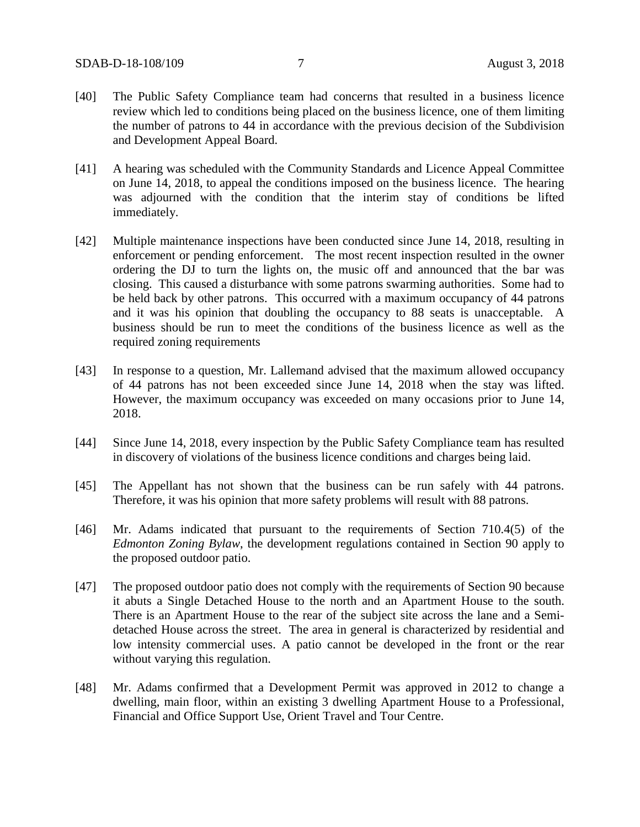- [40] The Public Safety Compliance team had concerns that resulted in a business licence review which led to conditions being placed on the business licence, one of them limiting the number of patrons to 44 in accordance with the previous decision of the Subdivision and Development Appeal Board.
- [41] A hearing was scheduled with the Community Standards and Licence Appeal Committee on June 14, 2018, to appeal the conditions imposed on the business licence. The hearing was adjourned with the condition that the interim stay of conditions be lifted immediately.
- [42] Multiple maintenance inspections have been conducted since June 14, 2018, resulting in enforcement or pending enforcement. The most recent inspection resulted in the owner ordering the DJ to turn the lights on, the music off and announced that the bar was closing. This caused a disturbance with some patrons swarming authorities. Some had to be held back by other patrons. This occurred with a maximum occupancy of 44 patrons and it was his opinion that doubling the occupancy to 88 seats is unacceptable. A business should be run to meet the conditions of the business licence as well as the required zoning requirements
- [43] In response to a question, Mr. Lallemand advised that the maximum allowed occupancy of 44 patrons has not been exceeded since June 14, 2018 when the stay was lifted. However, the maximum occupancy was exceeded on many occasions prior to June 14, 2018.
- [44] Since June 14, 2018, every inspection by the Public Safety Compliance team has resulted in discovery of violations of the business licence conditions and charges being laid.
- [45] The Appellant has not shown that the business can be run safely with 44 patrons. Therefore, it was his opinion that more safety problems will result with 88 patrons.
- [46] Mr. Adams indicated that pursuant to the requirements of Section 710.4(5) of the *Edmonton Zoning Bylaw*, the development regulations contained in Section 90 apply to the proposed outdoor patio.
- [47] The proposed outdoor patio does not comply with the requirements of Section 90 because it abuts a Single Detached House to the north and an Apartment House to the south. There is an Apartment House to the rear of the subject site across the lane and a Semidetached House across the street. The area in general is characterized by residential and low intensity commercial uses. A patio cannot be developed in the front or the rear without varying this regulation.
- [48] Mr. Adams confirmed that a Development Permit was approved in 2012 to change a dwelling, main floor, within an existing 3 dwelling Apartment House to a Professional, Financial and Office Support Use, Orient Travel and Tour Centre.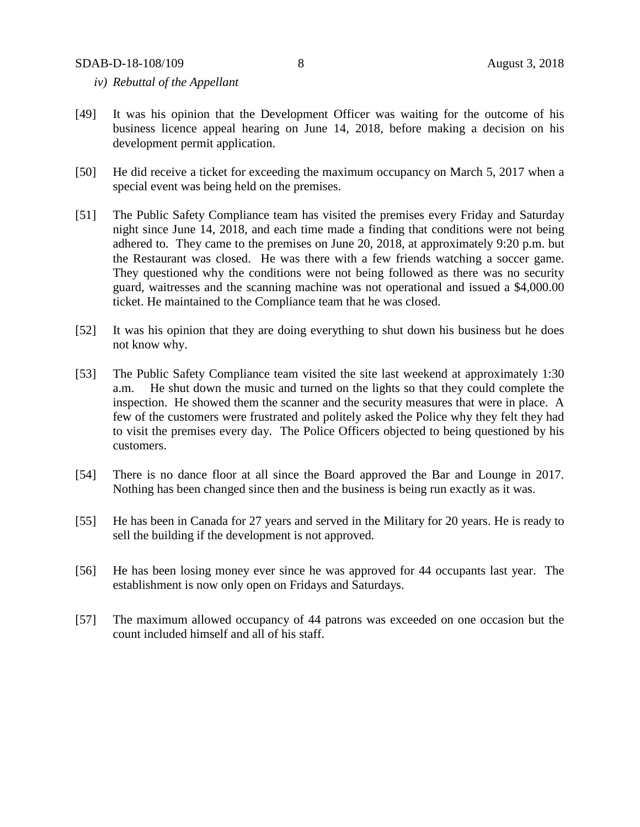- *iv) Rebuttal of the Appellant*
- [49] It was his opinion that the Development Officer was waiting for the outcome of his business licence appeal hearing on June 14, 2018, before making a decision on his development permit application.
- [50] He did receive a ticket for exceeding the maximum occupancy on March 5, 2017 when a special event was being held on the premises.
- [51] The Public Safety Compliance team has visited the premises every Friday and Saturday night since June 14, 2018, and each time made a finding that conditions were not being adhered to. They came to the premises on June 20, 2018, at approximately 9:20 p.m. but the Restaurant was closed. He was there with a few friends watching a soccer game. They questioned why the conditions were not being followed as there was no security guard, waitresses and the scanning machine was not operational and issued a \$4,000.00 ticket. He maintained to the Compliance team that he was closed.
- [52] It was his opinion that they are doing everything to shut down his business but he does not know why.
- [53] The Public Safety Compliance team visited the site last weekend at approximately 1:30 a.m. He shut down the music and turned on the lights so that they could complete the inspection. He showed them the scanner and the security measures that were in place. A few of the customers were frustrated and politely asked the Police why they felt they had to visit the premises every day. The Police Officers objected to being questioned by his customers.
- [54] There is no dance floor at all since the Board approved the Bar and Lounge in 2017. Nothing has been changed since then and the business is being run exactly as it was.
- [55] He has been in Canada for 27 years and served in the Military for 20 years. He is ready to sell the building if the development is not approved.
- [56] He has been losing money ever since he was approved for 44 occupants last year. The establishment is now only open on Fridays and Saturdays.
- [57] The maximum allowed occupancy of 44 patrons was exceeded on one occasion but the count included himself and all of his staff.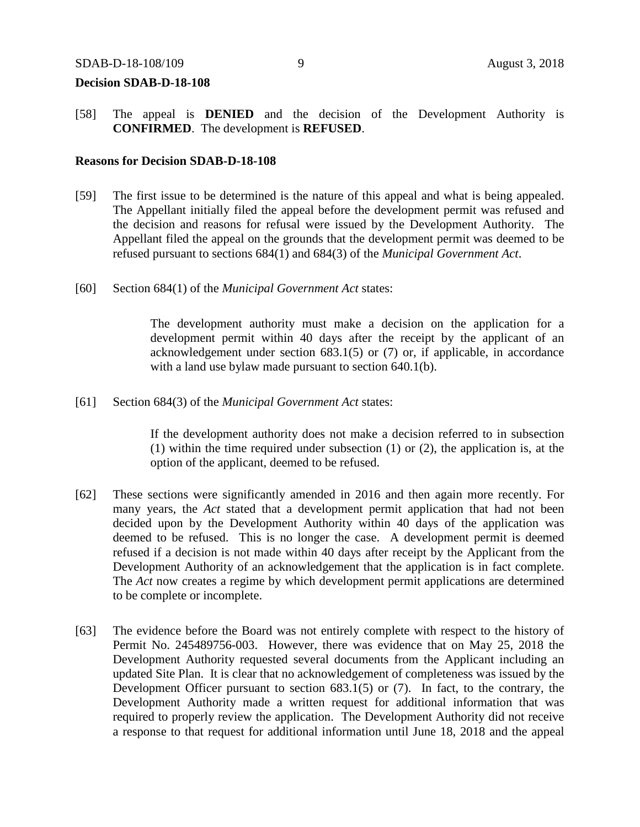#### SDAB-D-18-108/109 9 August 3, 2018

#### **Decision SDAB-D-18-108**

[58] The appeal is **DENIED** and the decision of the Development Authority is **CONFIRMED**. The development is **REFUSED**.

## **Reasons for Decision SDAB-D-18-108**

- [59] The first issue to be determined is the nature of this appeal and what is being appealed. The Appellant initially filed the appeal before the development permit was refused and the decision and reasons for refusal were issued by the Development Authority. The Appellant filed the appeal on the grounds that the development permit was deemed to be refused pursuant to sections 684(1) and 684(3) of the *Municipal Government Act*.
- [60] Section 684(1) of the *Municipal Government Act* states:

The development authority must make a decision on the application for a development permit within 40 days after the receipt by the applicant of an acknowledgement under section 683.1(5) or (7) or, if applicable, in accordance with a land use bylaw made pursuant to section 640.1(b).

[61] Section 684(3) of the *Municipal Government Act* states:

If the development authority does not make a decision referred to in subsection (1) within the time required under subsection (1) or (2), the application is, at the option of the applicant, deemed to be refused.

- [62] These sections were significantly amended in 2016 and then again more recently. For many years, the *Act* stated that a development permit application that had not been decided upon by the Development Authority within 40 days of the application was deemed to be refused. This is no longer the case. A development permit is deemed refused if a decision is not made within 40 days after receipt by the Applicant from the Development Authority of an acknowledgement that the application is in fact complete. The *Act* now creates a regime by which development permit applications are determined to be complete or incomplete.
- [63] The evidence before the Board was not entirely complete with respect to the history of Permit No. 245489756-003. However, there was evidence that on May 25, 2018 the Development Authority requested several documents from the Applicant including an updated Site Plan. It is clear that no acknowledgement of completeness was issued by the Development Officer pursuant to section 683.1(5) or (7). In fact, to the contrary, the Development Authority made a written request for additional information that was required to properly review the application. The Development Authority did not receive a response to that request for additional information until June 18, 2018 and the appeal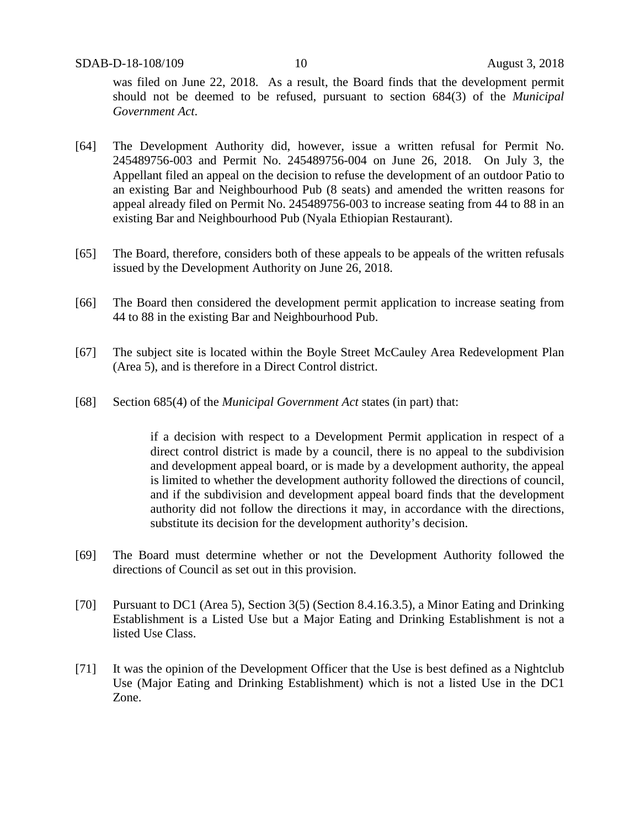was filed on June 22, 2018. As a result, the Board finds that the development permit should not be deemed to be refused, pursuant to section 684(3) of the *Municipal Government Act*.

- [64] The Development Authority did, however, issue a written refusal for Permit No. 245489756-003 and Permit No. 245489756-004 on June 26, 2018. On July 3, the Appellant filed an appeal on the decision to refuse the development of an outdoor Patio to an existing Bar and Neighbourhood Pub (8 seats) and amended the written reasons for appeal already filed on Permit No. 245489756-003 to increase seating from 44 to 88 in an existing Bar and Neighbourhood Pub (Nyala Ethiopian Restaurant).
- [65] The Board, therefore, considers both of these appeals to be appeals of the written refusals issued by the Development Authority on June 26, 2018.
- [66] The Board then considered the development permit application to increase seating from 44 to 88 in the existing Bar and Neighbourhood Pub.
- [67] The subject site is located within the Boyle Street McCauley Area Redevelopment Plan (Area 5), and is therefore in a Direct Control district.
- [68] Section 685(4) of the *Municipal Government Act* states (in part) that:

if a decision with respect to a Development Permit application in respect of a direct control district is made by a council, there is no appeal to the subdivision and development appeal board, or is made by a development authority, the appeal is limited to whether the development authority followed the directions of council, and if the subdivision and development appeal board finds that the development authority did not follow the directions it may, in accordance with the directions, substitute its decision for the development authority's decision.

- [69] The Board must determine whether or not the Development Authority followed the directions of Council as set out in this provision.
- [70] Pursuant to DC1 (Area 5), Section 3(5) (Section 8.4.16.3.5), a Minor Eating and Drinking Establishment is a Listed Use but a Major Eating and Drinking Establishment is not a listed Use Class.
- [71] It was the opinion of the Development Officer that the Use is best defined as a Nightclub Use (Major Eating and Drinking Establishment) which is not a listed Use in the DC1 Zone.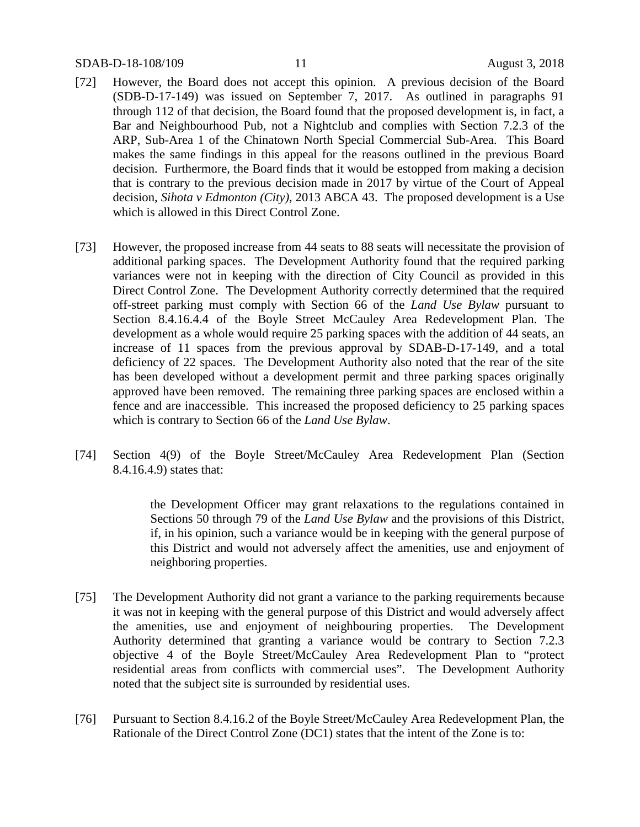- [72] However, the Board does not accept this opinion. A previous decision of the Board (SDB-D-17-149) was issued on September 7, 2017. As outlined in paragraphs 91 through 112 of that decision, the Board found that the proposed development is, in fact, a Bar and Neighbourhood Pub, not a Nightclub and complies with Section 7.2.3 of the ARP, Sub-Area 1 of the Chinatown North Special Commercial Sub-Area. This Board makes the same findings in this appeal for the reasons outlined in the previous Board decision. Furthermore, the Board finds that it would be estopped from making a decision that is contrary to the previous decision made in 2017 by virtue of the Court of Appeal decision, *Sihota v Edmonton (City),* 2013 ABCA 43. The proposed development is a Use which is allowed in this Direct Control Zone.
- [73] However, the proposed increase from 44 seats to 88 seats will necessitate the provision of additional parking spaces. The Development Authority found that the required parking variances were not in keeping with the direction of City Council as provided in this Direct Control Zone. The Development Authority correctly determined that the required off-street parking must comply with Section 66 of the *Land Use Bylaw* pursuant to Section 8.4.16.4.4 of the Boyle Street McCauley Area Redevelopment Plan. The development as a whole would require 25 parking spaces with the addition of 44 seats, an increase of 11 spaces from the previous approval by SDAB-D-17-149, and a total deficiency of 22 spaces. The Development Authority also noted that the rear of the site has been developed without a development permit and three parking spaces originally approved have been removed. The remaining three parking spaces are enclosed within a fence and are inaccessible. This increased the proposed deficiency to 25 parking spaces which is contrary to Section 66 of the *Land Use Bylaw*.
- [74] Section 4(9) of the Boyle Street/McCauley Area Redevelopment Plan (Section 8.4.16.4.9) states that:

the Development Officer may grant relaxations to the regulations contained in Sections 50 through 79 of the *Land Use Bylaw* and the provisions of this District, if, in his opinion, such a variance would be in keeping with the general purpose of this District and would not adversely affect the amenities, use and enjoyment of neighboring properties.

- [75] The Development Authority did not grant a variance to the parking requirements because it was not in keeping with the general purpose of this District and would adversely affect the amenities, use and enjoyment of neighbouring properties. The Development Authority determined that granting a variance would be contrary to Section 7.2.3 objective 4 of the Boyle Street/McCauley Area Redevelopment Plan to "protect residential areas from conflicts with commercial uses". The Development Authority noted that the subject site is surrounded by residential uses.
- [76] Pursuant to Section 8.4.16.2 of the Boyle Street/McCauley Area Redevelopment Plan, the Rationale of the Direct Control Zone (DC1) states that the intent of the Zone is to: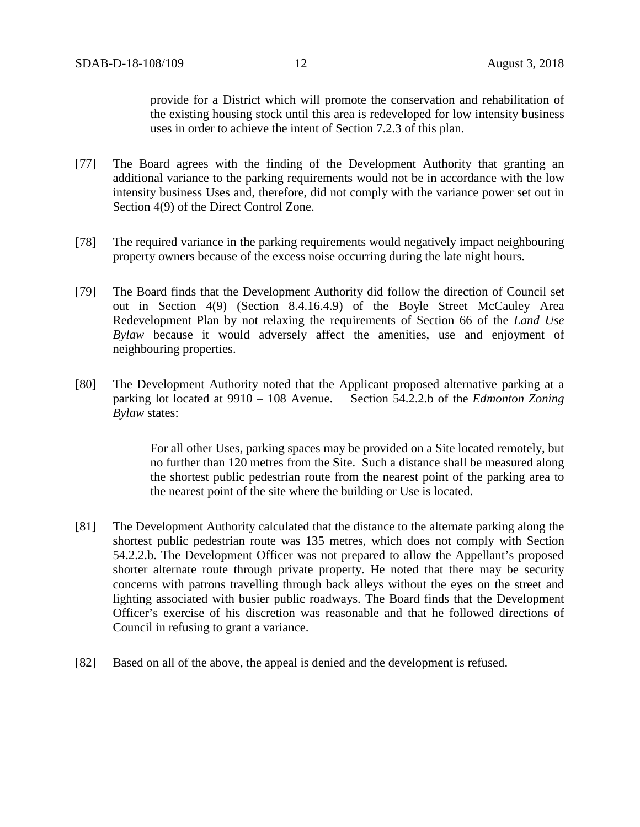provide for a District which will promote the conservation and rehabilitation of the existing housing stock until this area is redeveloped for low intensity business uses in order to achieve the intent of Section 7.2.3 of this plan.

- [77] The Board agrees with the finding of the Development Authority that granting an additional variance to the parking requirements would not be in accordance with the low intensity business Uses and, therefore, did not comply with the variance power set out in Section 4(9) of the Direct Control Zone.
- [78] The required variance in the parking requirements would negatively impact neighbouring property owners because of the excess noise occurring during the late night hours.
- [79] The Board finds that the Development Authority did follow the direction of Council set out in Section 4(9) (Section 8.4.16.4.9) of the Boyle Street McCauley Area Redevelopment Plan by not relaxing the requirements of Section 66 of the *Land Use Bylaw* because it would adversely affect the amenities, use and enjoyment of neighbouring properties.
- [80] The Development Authority noted that the Applicant proposed alternative parking at a parking lot located at 9910 – 108 Avenue. Section 54.2.2.b of the *Edmonton Zoning Bylaw* states:

For all other Uses, parking spaces may be provided on a Site located remotely, but no further than 120 metres from the Site. Such a distance shall be measured along the shortest public pedestrian route from the nearest point of the parking area to the nearest point of the site where the building or Use is located.

- [81] The Development Authority calculated that the distance to the alternate parking along the shortest public pedestrian route was 135 metres, which does not comply with Section 54.2.2.b. The Development Officer was not prepared to allow the Appellant's proposed shorter alternate route through private property. He noted that there may be security concerns with patrons travelling through back alleys without the eyes on the street and lighting associated with busier public roadways. The Board finds that the Development Officer's exercise of his discretion was reasonable and that he followed directions of Council in refusing to grant a variance.
- [82] Based on all of the above, the appeal is denied and the development is refused.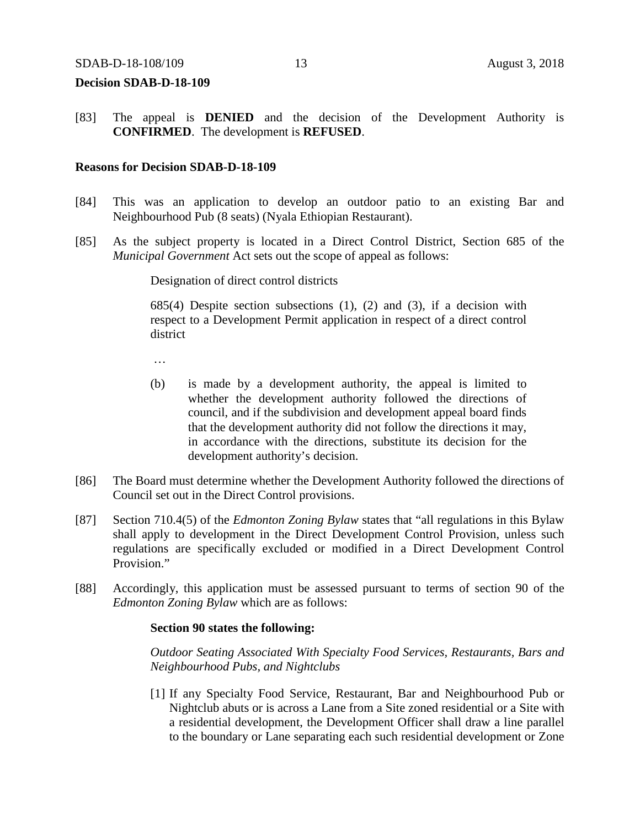#### **Decision SDAB-D-18-109**

[83] The appeal is **DENIED** and the decision of the Development Authority is **CONFIRMED**. The development is **REFUSED**.

### **Reasons for Decision SDAB-D-18-109**

- [84] This was an application to develop an outdoor patio to an existing Bar and Neighbourhood Pub (8 seats) (Nyala Ethiopian Restaurant).
- [85] As the subject property is located in a Direct Control District, Section 685 of the *Municipal Government* Act sets out the scope of appeal as follows:

Designation of direct control districts

685(4) Despite section subsections (1), (2) and (3), if a decision with respect to a Development Permit application in respect of a direct control district

…

- (b) is made by a development authority, the appeal is limited to whether the development authority followed the directions of council, and if the subdivision and development appeal board finds that the development authority did not follow the directions it may, in accordance with the directions, substitute its decision for the development authority's decision.
- [86] The Board must determine whether the Development Authority followed the directions of Council set out in the Direct Control provisions.
- [87] Section 710.4(5) of the *Edmonton Zoning Bylaw* states that "all regulations in this Bylaw shall apply to development in the Direct Development Control Provision, unless such regulations are specifically excluded or modified in a Direct Development Control Provision."
- [88] Accordingly, this application must be assessed pursuant to terms of section 90 of the *Edmonton Zoning Bylaw* which are as follows:

#### **Section 90 states the following:**

*Outdoor Seating Associated With Specialty Food Services, Restaurants, Bars and Neighbourhood Pubs, and Nightclubs*

[1] If any [Specialty Food Service, Restaurant,](javascript:void(0);) [Bar and Neighbourhood Pub](javascript:void(0);) or [Nightclub](javascript:void(0);) abuts or is across a Lane from a Site zoned residential or a Site with a residential development, the Development Officer shall draw a line parallel to the boundary or Lane separating each such residential development or Zone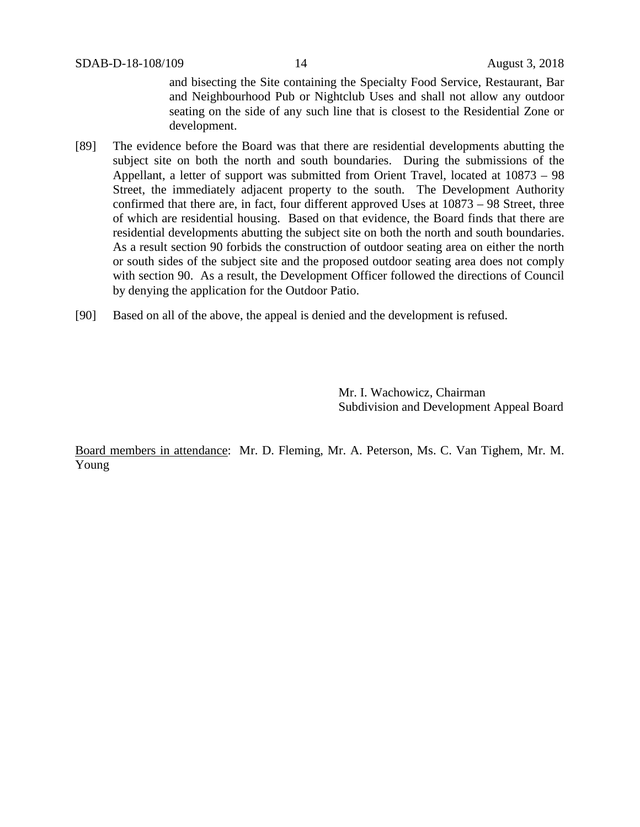and bisecting the Site containing the Specialty Food Service, Restaurant, Bar and Neighbourhood Pub or Nightclub Uses and shall not allow any outdoor seating on the side of any such line that is closest to the Residential Zone or development.

- [89] The evidence before the Board was that there are residential developments abutting the subject site on both the north and south boundaries. During the submissions of the Appellant, a letter of support was submitted from Orient Travel, located at 10873 – 98 Street, the immediately adjacent property to the south. The Development Authority confirmed that there are, in fact, four different approved Uses at 10873 – 98 Street, three of which are residential housing. Based on that evidence, the Board finds that there are residential developments abutting the subject site on both the north and south boundaries. As a result section 90 forbids the construction of outdoor seating area on either the north or south sides of the subject site and the proposed outdoor seating area does not comply with section 90. As a result, the Development Officer followed the directions of Council by denying the application for the Outdoor Patio.
- [90] Based on all of the above, the appeal is denied and the development is refused.

Mr. I. Wachowicz, Chairman Subdivision and Development Appeal Board

Board members in attendance: Mr. D. Fleming, Mr. A. Peterson, Ms. C. Van Tighem, Mr. M. Young